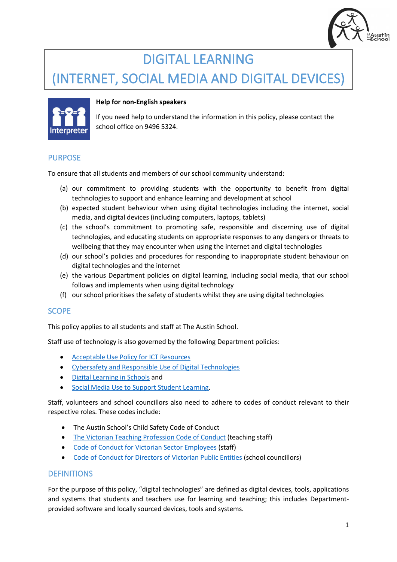

# DIGITAL LEARNING

# (INTERNET, SOCIAL MEDIA AND DIGITAL DEVICES)



## **Help for non-English speakers**

If you need help to understand the information in this policy, please contact the school office on 9496 5324.

## PURPOSE

To ensure that all students and members of our school community understand:

- (a) our commitment to providing students with the opportunity to benefit from digital technologies to support and enhance learning and development at school
- (b) expected student behaviour when using digital technologies including the internet, social media, and digital devices (including computers, laptops, tablets)
- (c) the school's commitment to promoting safe, responsible and discerning use of digital technologies, and educating students on appropriate responses to any dangers or threats to wellbeing that they may encounter when using the internet and digital technologies
- (d) our school's policies and procedures for responding to inappropriate student behaviour on digital technologies and the internet
- (e) the various Department policies on digital learning, including social media, that our school follows and implements when using digital technology
- (f) our school prioritises the safety of students whilst they are using digital technologies

### **SCOPE**

This policy applies to all students and staff at The Austin School.

Staff use of technology is also governed by the following Department policies:

- [Acceptable Use Policy](https://www2.education.vic.gov.au/pal/ict-acceptable-use/overview) for ICT Resources
- Cybersafety [and Responsible Use of Digital Technologies](https://www2.education.vic.gov.au/pal/cybersafety/policy)
- [Digital Learning in Schools](https://www2.education.vic.gov.au/pal/digital-learning/policy) and
- [Social Media Use to Support Student Learning.](https://www2.education.vic.gov.au/pal/social-media/policy)

Staff, volunteers and school councillors also need to adhere to codes of conduct relevant to their respective roles. These codes include:

- The Austin School's Child Safety Code of Conduct
- [The Victorian Teaching Profession Code of Conduct](https://www.vit.vic.edu.au/__data/assets/pdf_file/0018/35604/Code-of-Conduct-2016.pdf) (teaching staff)
- [Code of Conduct for Victorian Sector Employees](https://www2.education.vic.gov.au/pal/code-conduct/overview) (staff)
- [Code of Conduct for Directors of Victorian Public Entities](https://www2.education.vic.gov.au/pal/school-council-conduct/policy) (school councillors)

### **DEFINITIONS**

For the purpose of this policy, "digital technologies" are defined as digital devices, tools, applications and systems that students and teachers use for learning and teaching; this includes Departmentprovided software and locally sourced devices, tools and systems.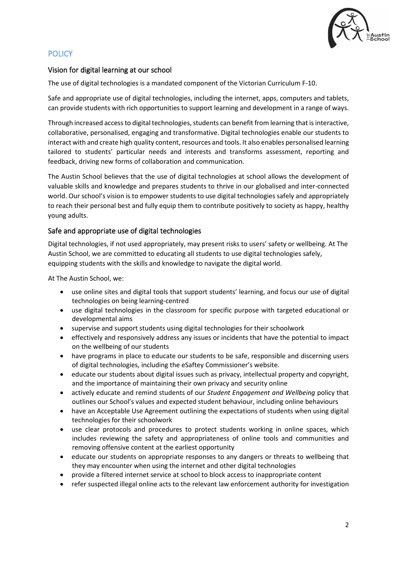

## **POLICY**

## Vision for digital learning at our school

The use of digital technologies is a mandated component of the Victorian Curriculum F-10.

Safe and appropriate use of digital technologies, including the internet, apps, computers and tablets, can provide students with rich opportunities to support learning and development in a range of ways.

Through increased access to digital technologies, students can benefit from learning that is interactive, collaborative, personalised, engaging and transformative. Digital technologies enable our students to interact with and create high quality content, resources and tools. It also enables personalised learning tailored to students' particular needs and interests and transforms assessment, reporting and feedback, driving new forms of collaboration and communication.

The Austin School believes that the use of digital technologies at school allows the development of valuable skills and knowledge and prepares students to thrive in our globalised and inter-connected world. Our school's vision is to empower students to use digital technologies safely and appropriately to reach their personal best and fully equip them to contribute positively to society as happy, healthy young adults.

## Safe and appropriate use of digital technologies

Digital technologies, if not used appropriately, may present risks to users' safety or wellbeing. At The Austin School, we are committed to educating all students to use digital technologies safely, equipping students with the skills and knowledge to navigate the digital world.

At The Austin School, we:

- use online sites and digital tools that support students' learning, and focus our use of digital technologies on being learning-centred
- use digital technologies in the classroom for specific purpose with targeted educational or developmental aims
- supervise and support students using digital technologies for their schoolwork
- effectively and responsively address any issues or incidents that have the potential to impact on the wellbeing of our students
- have programs in place to educate our students to be safe, responsible and discerning users of digital technologies, including the eSaftey Commissioner's website.
- educate our students about digital issues such as privacy, intellectual property and copyright, and the importance of maintaining their own privacy and security online
- actively educate and remind students of our *Student Engagement and Wellbeing* policy that outlines our School's values and expected student behaviour, including online behaviours
- have an Acceptable Use Agreement outlining the expectations of students when using digital technologies for their schoolwork
- use clear protocols and procedures to protect students working in online spaces, which includes reviewing the safety and appropriateness of online tools and communities and removing offensive content at the earliest opportunity
- educate our students on appropriate responses to any dangers or threats to wellbeing that they may encounter when using the internet and other digital technologies
- provide a filtered internet service at school to block access to inappropriate content
- refer suspected illegal online acts to the relevant law enforcement authority for investigation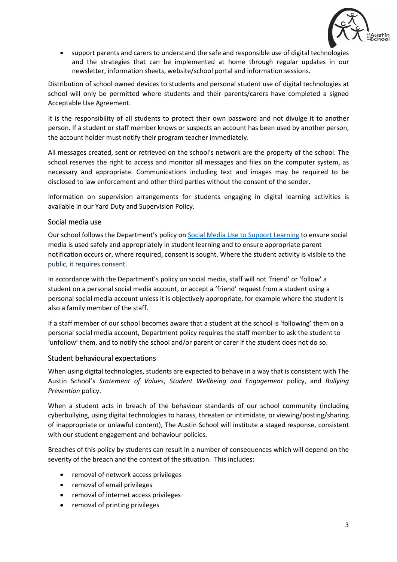

• support parents and carers to understand the safe and responsible use of digital technologies and the strategies that can be implemented at home through regular updates in our newsletter, information sheets, website/school portal and information sessions.

Distribution of school owned devices to students and personal student use of digital technologies at school will only be permitted where students and their parents/carers have completed a signed Acceptable Use Agreement.

It is the responsibility of all students to protect their own password and not divulge it to another person. If a student or staff member knows or suspects an account has been used by another person, the account holder must notify their program teacher immediately.

All messages created, sent or retrieved on the school's network are the property of the school. The school reserves the right to access and monitor all messages and files on the computer system, as necessary and appropriate. Communications including text and images may be required to be disclosed to law enforcement and other third parties without the consent of the sender.

Information on supervision arrangements for students engaging in digital learning activities is available in our Yard Duty and Supervision Policy.

### Social media use

Our school follows the Department's policy o[n Social Media Use to Support Learning](https://www2.education.vic.gov.au/pal/social-media/policy) to ensure social media is used safely and appropriately in student learning and to ensure appropriate parent notification occurs or, where required, consent is sought. Where the student activity is visible to the public, it requires consent.

In accordance with the Department's policy on social media, staff will not 'friend' or 'follow' a student on a personal social media account, or accept a 'friend' request from a student using a personal social media account unless it is objectively appropriate, for example where the student is also a family member of the staff.

If a staff member of our school becomes aware that a student at the school is 'following' them on a personal social media account, Department policy requires the staff member to ask the student to 'unfollow' them, and to notify the school and/or parent or carer if the student does not do so.

### Student behavioural expectations

When using digital technologies, students are expected to behave in a way that is consistent with The Austin School's *Statement of Values, Student Wellbeing and Engagement* policy, and *Bullying Prevention* policy.

When a student acts in breach of the behaviour standards of our school community (including cyberbullying, using digital technologies to harass, threaten or intimidate, or viewing/posting/sharing of inappropriate or unlawful content), The Austin School will institute a staged response, consistent with our student engagement and behaviour policies*.*

Breaches of this policy by students can result in a number of consequences which will depend on the severity of the breach and the context of the situation. This includes:

- removal of network access privileges
- removal of email privileges
- removal of internet access privileges
- removal of printing privileges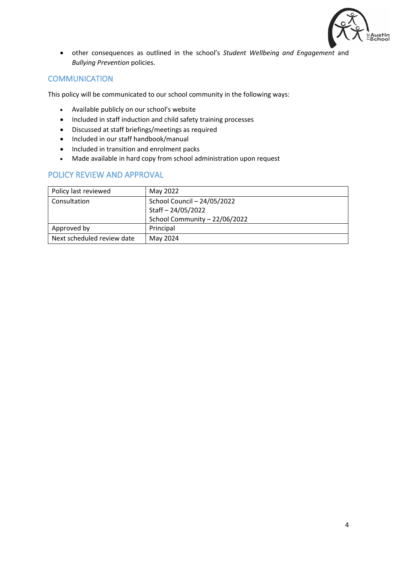

• other consequences as outlined in the school's *Student Wellbeing and Engagement* and *Bullying Prevention* policies.

## **COMMUNICATION**

This policy will be communicated to our school community in the following ways:

- Available publicly on our school's website
- Included in staff induction and child safety training processes
- Discussed at staff briefings/meetings as required
- Included in our staff handbook/manual
- Included in transition and enrolment packs
- Made available in hard copy from school administration upon request

## POLICY REVIEW AND APPROVAL

| Policy last reviewed       | May 2022                      |
|----------------------------|-------------------------------|
| Consultation               | School Council - 24/05/2022   |
|                            | Staff-24/05/2022              |
|                            | School Community - 22/06/2022 |
| Approved by                | Principal                     |
| Next scheduled review date | May 2024                      |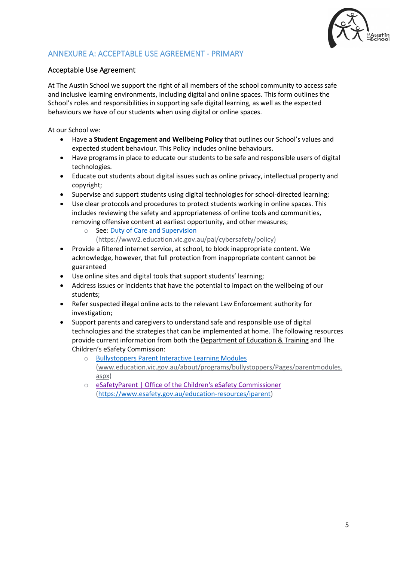

## ANNEXURE A: ACCEPTABLE USE AGREEMENT - PRIMARY

## Acceptable Use Agreement

At The Austin School we support the right of all members of the school community to access safe and inclusive learning environments, including digital and online spaces. This form outlines the School's roles and responsibilities in supporting safe digital learning, as well as the expected behaviours we have of our students when using digital or online spaces.

At our School we:

- Have a **Student Engagement and Wellbeing Policy** that outlines our School's values and expected student behaviour. This Policy includes online behaviours.
- Have programs in place to educate our students to be safe and responsible users of digital technologies.
- Educate out students about digital issues such as online privacy, intellectual property and copyright;
- Supervise and support students using digital technologies for school-directed learning;
- Use clear protocols and procedures to protect students working in online spaces. This includes reviewing the safety and appropriateness of online tools and communities, removing offensive content at earliest opportunity, and other measures;
	- o See[: Duty of Care and Supervision](https://www2.education.vic.gov.au/pal/cybersafety/policy) 
		- [\(https://www2.education.vic.gov.au/pal/cybersafety/policy\)](https://www2.education.vic.gov.au/pal/cybersafety/policy)
- Provide a filtered internet service, at school, to block inappropriate content. We acknowledge, however, that full protection from inappropriate content cannot be guaranteed
- Use online sites and digital tools that support students' learning;
- Address issues or incidents that have the potential to impact on the wellbeing of our students;
- Refer suspected illegal online acts to the relevant Law Enforcement authority for investigation;
- Support parents and caregivers to understand safe and responsible use of digital technologies and the strategies that can be implemented at home. The following resources provide current information from both the [Department of Education & Training](http://www.education.vic.gov.au/about/programs/bullystoppers/Pages/parentmodules.aspx) and The Children's eSafety Commission:
	- o [Bullystoppers Parent Interactive Learning Modules](http://www.education.vic.gov.au/about/programs/bullystoppers/Pages/parentmodules.aspx) [\(www.education.vic.gov.au/about/programs/bullystoppers/Pages/parentmodules.](http://www.education.vic.gov.au/about/programs/bullystoppers/Pages/parentmodules.aspx) [aspx\)](http://www.education.vic.gov.au/about/programs/bullystoppers/Pages/parentmodules.aspx)
	- o [eSafetyParent | Office of the Children's eSafety Commissioner](https://www.esafety.gov.au/education-resources/iparent) [\(https://www.esafety.gov.au/education-resources/iparent\)](https://www.esafety.gov.au/education-resources/iparent)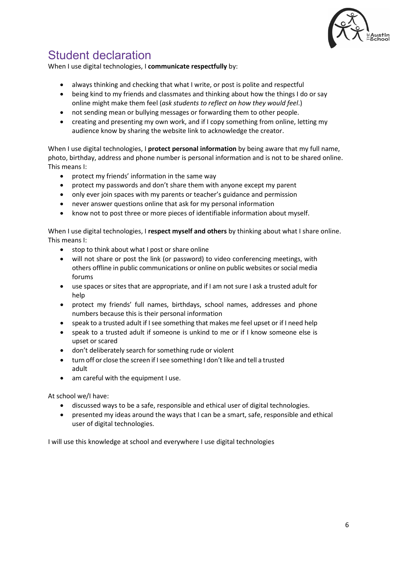

## Student declaration

When I use digital technologies, I **communicate respectfully** by:

- always thinking and checking that what I write, or post is polite and respectful
- being kind to my friends and classmates and thinking about how the things I do or say online might make them feel (*ask students to reflect on how they would feel*.)
- not sending mean or bullying messages or forwarding them to other people.
- creating and presenting my own work, and if I copy something from online, letting my audience know by sharing the website link to acknowledge the creator.

When I use digital technologies, I **protect personal information** by being aware that my full name, photo, birthday, address and phone number is personal information and is not to be shared online. This means I:

- protect my friends' information in the same way
- protect my passwords and don't share them with anyone except my parent
- only ever join spaces with my parents or teacher's guidance and permission
- never answer questions online that ask for my personal information
- know not to post three or more pieces of identifiable information about myself.

When I use digital technologies, I **respect myself and others** by thinking about what I share online. This means I:

- stop to think about what I post or share online
- will not share or post the link (or password) to video conferencing meetings, with others offline in public communications or online on public websites or social media forums
- use spaces or sites that are appropriate, and if I am not sure I ask a trusted adult for help
- protect my friends' full names, birthdays, school names, addresses and phone numbers because this is their personal information
- speak to a trusted adult if I see something that makes me feel upset or if I need help
- speak to a trusted adult if someone is unkind to me or if I know someone else is upset or scared
- don't deliberately search for something rude or violent
- turn off or close the screen if I see something I don't like and tell a trusted adult
- am careful with the equipment I use.

At school we/I have:

- discussed ways to be a safe, responsible and ethical user of digital technologies.
- presented my ideas around the ways that I can be a smart, safe, responsible and ethical user of digital technologies.

I will use this knowledge at school and everywhere I use digital technologies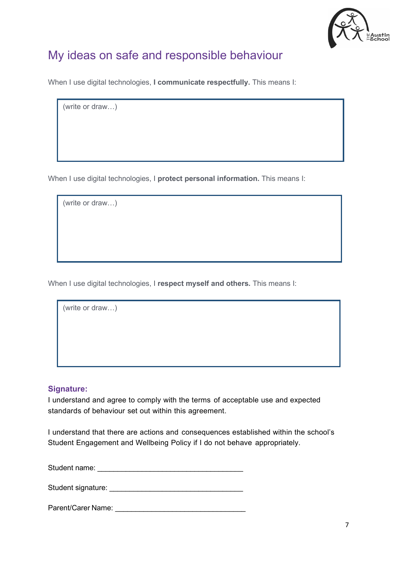

## My ideas on safe and responsible behaviour

When I use digital technologies, **I communicate respectfully.** This means I:

(write or draw…)

When I use digital technologies, I **protect personal information.** This means I:

(write or draw…)

When I use digital technologies, I **respect myself and others.** This means I:

(write or draw…)

### **Signature:**

I understand and agree to comply with the terms of acceptable use and expected standards of behaviour set out within this agreement.

I understand that there are actions and consequences established within the school's Student Engagement and Wellbeing Policy if I do not behave appropriately.

Student name: \_\_\_\_\_\_\_\_\_\_\_\_\_\_\_\_\_\_\_\_\_\_\_\_\_\_\_\_\_\_\_\_\_\_\_\_

Student signature: **Example 2018** 

Parent/Carer Name: **Example 2018**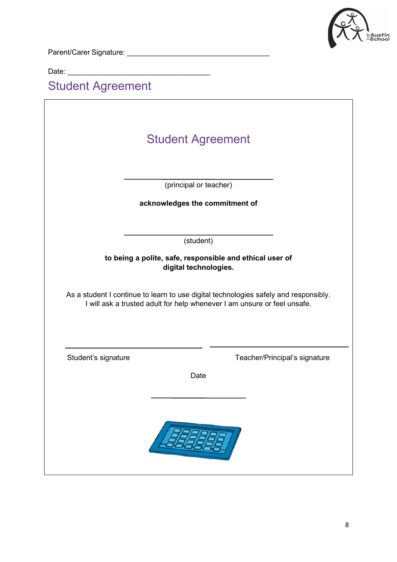

Parent/Carer Signature: \_\_\_\_\_\_\_\_\_\_\_\_\_\_\_\_\_\_\_\_\_\_\_\_\_\_\_\_\_\_\_\_\_\_\_

Date: \_\_\_\_\_\_\_\_\_\_\_\_\_\_\_\_\_\_\_\_\_\_\_\_\_\_\_\_\_\_\_\_\_\_\_

# Student Agreement

|                     | <b>Student Agreement</b>                                                                                              |
|---------------------|-----------------------------------------------------------------------------------------------------------------------|
|                     |                                                                                                                       |
|                     | (principal or teacher)                                                                                                |
|                     | acknowledges the commitment of                                                                                        |
|                     |                                                                                                                       |
|                     | (student)                                                                                                             |
|                     | to being a polite, safe, responsible and ethical user of                                                              |
|                     | digital technologies.                                                                                                 |
|                     | I will ask a trusted adult for help whenever I am unsure or feel unsafe.                                              |
|                     |                                                                                                                       |
|                     | Date                                                                                                                  |
| Student's signature | As a student I continue to learn to use digital technologies safely and responsibly.<br>Teacher/Principal's signature |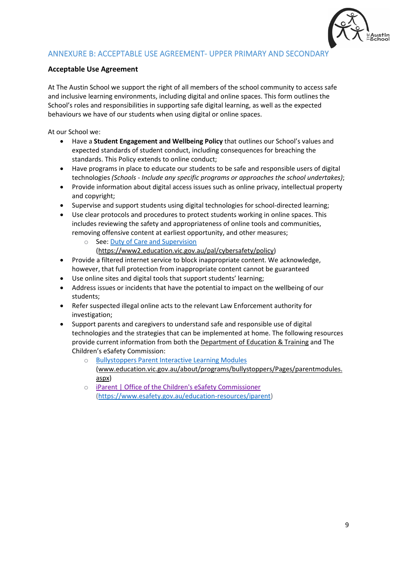

## ANNEXURE B: ACCEPTABLE USE AGREEMENT- UPPER PRIMARY AND SECONDARY

### **Acceptable Use Agreement**

At The Austin School we support the right of all members of the school community to access safe and inclusive learning environments, including digital and online spaces. This form outlines the School's roles and responsibilities in supporting safe digital learning, as well as the expected behaviours we have of our students when using digital or online spaces.

At our School we:

- Have a **Student Engagement and Wellbeing Policy** that outlines our School's values and expected standards of student conduct, including consequences for breaching the standards. This Policy extends to online conduct;
- Have programs in place to educate our students to be safe and responsible users of digital technologies *(Schools - Include any specific programs or approaches the school undertakes)*;
- Provide information about digital access issues such as online privacy, intellectual property and copyright;
- Supervise and support students using digital technologies for school-directed learning;
- Use clear protocols and procedures to protect students working in online spaces. This includes reviewing the safety and appropriateness of online tools and communities, removing offensive content at earliest opportunity, and other measures;
	- o See[: Duty of Care and Supervision](https://www2.education.vic.gov.au/pal/cybersafety/policy) 
		- [\(https://www2.education.vic.gov.au/pal/cybersafety/policy\)](https://www2.education.vic.gov.au/pal/cybersafety/policy)
- Provide a filtered internet service to block inappropriate content. We acknowledge, however, that full protection from inappropriate content cannot be guaranteed
- Use online sites and digital tools that support students' learning;
- Address issues or incidents that have the potential to impact on the wellbeing of our students;
- Refer suspected illegal online acts to the relevant Law Enforcement authority for investigation;
- Support parents and caregivers to understand safe and responsible use of digital technologies and the strategies that can be implemented at home. The following resources provide current information from both the [Department of Education & Training](http://www.education.vic.gov.au/about/programs/bullystoppers/Pages/parentmodules.aspx) and The Children's eSafety Commission:
	- o [Bullystoppers Parent Interactive Learning Modules](http://www.education.vic.gov.au/about/programs/bullystoppers/Pages/parentmodules.aspx) [\(www.education.vic.gov.au/about/programs/bullystoppers/Pages/parentmodules.](http://www.education.vic.gov.au/about/programs/bullystoppers/Pages/parentmodules.aspx) [aspx\)](http://www.education.vic.gov.au/about/programs/bullystoppers/Pages/parentmodules.aspx)
	- o [iParent | Office of the Children's eSafety Commissioner](https://www.esafety.gov.au/education-resources/iparent) [\(https://www.esafety.gov.au/education-resources/iparent\)](https://www.esafety.gov.au/education-resources/iparent)